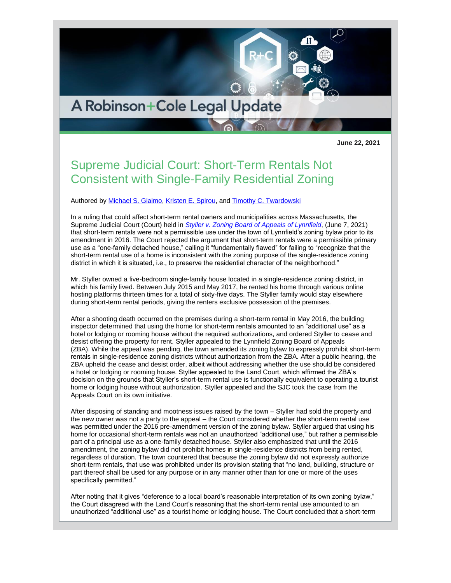

**June 22, 2021**

## Supreme Judicial Court: Short-Term Rentals Not Consistent with Single-Family Residential Zoning

Authored by [Michael S. Giaimo,](http://www.rc.com/people/MichaelSGiaimo.cfm) [Kristen E. Spirou,](http://www.rc.com/people/KristenEElia.cfm) and [Timothy C. Twardowski](http://www.rc.com/people/TimothyCTwardowski.cfm)

In a ruling that could affect short-term rental owners and municipalities across Massachusetts, the Supreme Judicial Court (Court) held in *[Styller v. Zoning Board of Appeals of Lynnfield](https://www.mass.gov/files/documents/2021/06/07/w12901.pdf)*, (June 7, 2021) that short-term rentals were not a permissible use under the town of Lynnfield's zoning bylaw prior to its amendment in 2016. The Court rejected the argument that short-term rentals were a permissible primary use as a "one-family detached house," calling it "fundamentally flawed" for failing to "recognize that the short-term rental use of a home is inconsistent with the zoning purpose of the single-residence zoning district in which it is situated, i.e., to preserve the residential character of the neighborhood."

Mr. Styller owned a five-bedroom single-family house located in a single-residence zoning district, in which his family lived. Between July 2015 and May 2017, he rented his home through various online hosting platforms thirteen times for a total of sixty-five days. The Styller family would stay elsewhere during short-term rental periods, giving the renters exclusive possession of the premises.

After a shooting death occurred on the premises during a short-term rental in May 2016, the building inspector determined that using the home for short-term rentals amounted to an "additional use" as a hotel or lodging or rooming house without the required authorizations, and ordered Styller to cease and desist offering the property for rent. Styller appealed to the Lynnfield Zoning Board of Appeals (ZBA). While the appeal was pending, the town amended its zoning bylaw to expressly prohibit short-term rentals in single-residence zoning districts without authorization from the ZBA. After a public hearing, the ZBA upheld the cease and desist order, albeit without addressing whether the use should be considered a hotel or lodging or rooming house. Styller appealed to the Land Court, which affirmed the ZBA's decision on the grounds that Styller's short-term rental use is functionally equivalent to operating a tourist home or lodging house without authorization. Styller appealed and the SJC took the case from the Appeals Court on its own initiative.

After disposing of standing and mootness issues raised by the town – Styller had sold the property and the new owner was not a party to the appeal – the Court considered whether the short-term rental use was permitted under the 2016 pre-amendment version of the zoning bylaw. Styller argued that using his home for occasional short-term rentals was not an unauthorized "additional use," but rather a permissible part of a principal use as a one-family detached house. Styller also emphasized that until the 2016 amendment, the zoning bylaw did not prohibit homes in single-residence districts from being rented, regardless of duration. The town countered that because the zoning bylaw did not expressly authorize short-term rentals, that use was prohibited under its provision stating that "no land, building, structure or part thereof shall be used for any purpose or in any manner other than for one or more of the uses specifically permitted."

After noting that it gives "deference to a local board's reasonable interpretation of its own zoning bylaw," the Court disagreed with the Land Court's reasoning that the short-term rental use amounted to an unauthorized "additional use" as a tourist home or lodging house. The Court concluded that a short-term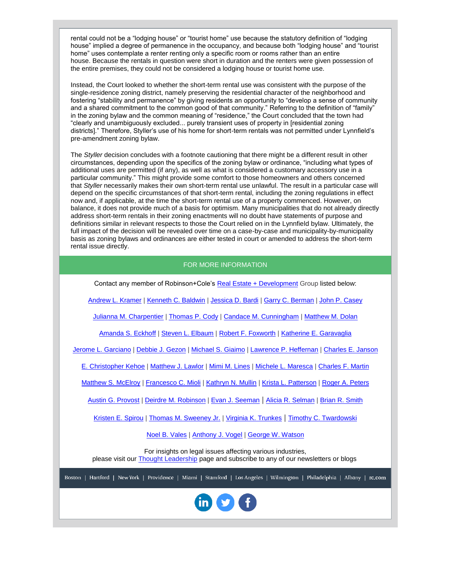rental could not be a "lodging house" or "tourist home" use because the statutory definition of "lodging house" implied a degree of permanence in the occupancy, and because both "lodging house" and "tourist home" uses contemplate a renter renting only a specific room or rooms rather than an entire house. Because the rentals in question were short in duration and the renters were given possession of the entire premises, they could not be considered a lodging house or tourist home use.

Instead, the Court looked to whether the short-term rental use was consistent with the purpose of the single-residence zoning district, namely preserving the residential character of the neighborhood and fostering "stability and permanence" by giving residents an opportunity to "develop a sense of community and a shared commitment to the common good of that community." Referring to the definition of "family" in the zoning bylaw and the common meaning of "residence," the Court concluded that the town had "clearly and unambiguously excluded... purely transient uses of property in [residential zoning districts]." Therefore, Styller's use of his home for short-term rentals was not permitted under Lynnfield's pre-amendment zoning bylaw.

The *Styller* decision concludes with a footnote cautioning that there might be a different result in other circumstances, depending upon the specifics of the zoning bylaw or ordinance, "including what types of additional uses are permitted (if any), as well as what is considered a customary accessory use in a particular community." This might provide some comfort to those homeowners and others concerned that *Styller* necessarily makes their own short-term rental use unlawful. The result in a particular case will depend on the specific circumstances of that short-term rental, including the zoning regulations in effect now and, if applicable, at the time the short-term rental use of a property commenced. However, on balance, it does not provide much of a basis for optimism. Many municipalities that do not already directly address short-term rentals in their zoning enactments will no doubt have statements of purpose and definitions similar in relevant respects to those the Court relied on in the Lynnfield bylaw. Ultimately, the full impact of the decision will be revealed over time on a case-by-case and municipality-by-municipality basis as zoning bylaws and ordinances are either tested in court or amended to address the short-term rental issue directly.

## FOR MORE INFORMATION

Contact any member of Robinson+Cole's [Real Estate + Development](http://www.rc.com/practices/RealEstate/index.cfm) Group listed below:

[Andrew L. Kramer](http://www.rc.com/people/AndrewLKramer.cfm) | [Kenneth C. Baldwin](http://www.rc.com/people/KennethCBaldwin.cfm) | [Jessica D. Bardi](http://www.rc.com/people/JessicaBardi.cfm) | [Garry C. Berman](http://www.rc.com/people/GarryCBerman.cfm) | [John P. Casey](http://www.rc.com/people/JohnPCasey.cfm)

[Julianna M. Charpentier](http://www.rc.com/people/JuliannaMCharpentier.cfm) | [Thomas P. Cody](http://www.rc.com/people/ThomasPCody.cfm) | [Candace M. Cunningham](http://www.rc.com/people/CandaceMCunningham.cfm) | [Matthew M. Dolan](http://www.rc.com/people/MatthewMDolan.cfm)

[Amanda S. Eckhoff](http://www.rc.com/people/AmandaSEckhoff.cfm) | [Steven L. Elbaum](http://www.rc.com/people/StevenLElbaum.cfm) | [Robert F. Foxworth](http://www.rc.com/people/RobertFFoxworth.cfm) | [Katherine E. Garavaglia](http://www.rc.com/people/KatherineEGaravaglia.cfm)

[Jerome L. Garciano](http://www.rc.com/people/JeromeLGarciano.cfm) | [Debbie J. Gezon](http://www.rc.com/people/DebbieJGezon.cfm) | [Michael S.](http://www.rc.com/people/MichaelSGiaimo.cfm) Giaimo | [Lawrence P. Heffernan](http://www.rc.com/people/LawrencePHeffernan.cfm) | [Charles E. Janson](http://www.rc.com/people/CharlesEJanson.cfm)

[E. Christopher Kehoe](http://www.rc.com/people/EChristopherKehoe.cfm) | [Matthew J. Lawlor](http://www.rc.com/people/MatthewJLawlor.cfm) | [Mimi M. Lines](http://www.rc.com/people/MimiMLines.cfm) | [Michele L. Maresca](http://www.rc.com/people/MicheleLMaresca.cfm) | [Charles F. Martin](http://www.rc.com/people/CharlesFMartinIII.cfm)

[Matthew S. McElroy](http://www.rc.com/people/MatthewSMcElroy.cfm) | [Francesco C. Mioli](http://www.rc.com/people/FrancescoCMioli.cfm) | [Kathryn N. Mullin](http://www.rc.com/people/KathrynNMullin.cfm) | [Krista L. Patterson](http://www.rc.com/people/KristaLPatterson.cfm) | [Roger A. Peters](http://www.rc.com/people/RogerAPetersII.cfm)

[Austin G. Provost](http://www.rc.com/people/AustinGProvost.cfm) | [Deirdre M. Robinson](http://www.rc.com/people/DeirdreRobinson.cfm) | [Evan J. Seeman](http://www.rc.com/people/EvanJSeeman.cfm) | [Alicia R. Selman](http://www.rc.com/people/AliciaRSelman.cfm) | [Brian R. Smith](http://www.rc.com/people/BrianRSmith.cfm)

[Kristen E. Spirou](http://www.rc.com/people/KristenEElia.cfm) | [Thomas M. Sweeney Jr.](http://www.rc.com/people/ThomasMSweeneyJr.cfm) | [Virginia K. Trunkes](http://www.rc.com/people/VirginiaKTrunkes.cfm) | [Timothy C. Twardowski](http://www.rc.com/people/TimothyCTwardowski.cfm)

[Noel B. Vales](http://www.rc.com/people/NoelBVales.cfm) | [Anthony J. Vogel](http://www.rc.com/people/AnthonyJVogel.cfm) | [George W. Watson](http://www.rc.com/people/GeorgeWWatsonIII.cfm)

For insights on legal issues affecting various industries, please visit our [Thought Leadership](https://protect-us.mimecast.com/s/zlPLCM8Xq6H5mjljTAINkt?domain=r20.rs6.net) page and subscribe to any of our newsletters or blogs

Boston | Hartford | New York | Providence | Miami | Stamford | Los Angeles | Wilmington | Philadelphia | Albany | rc.com